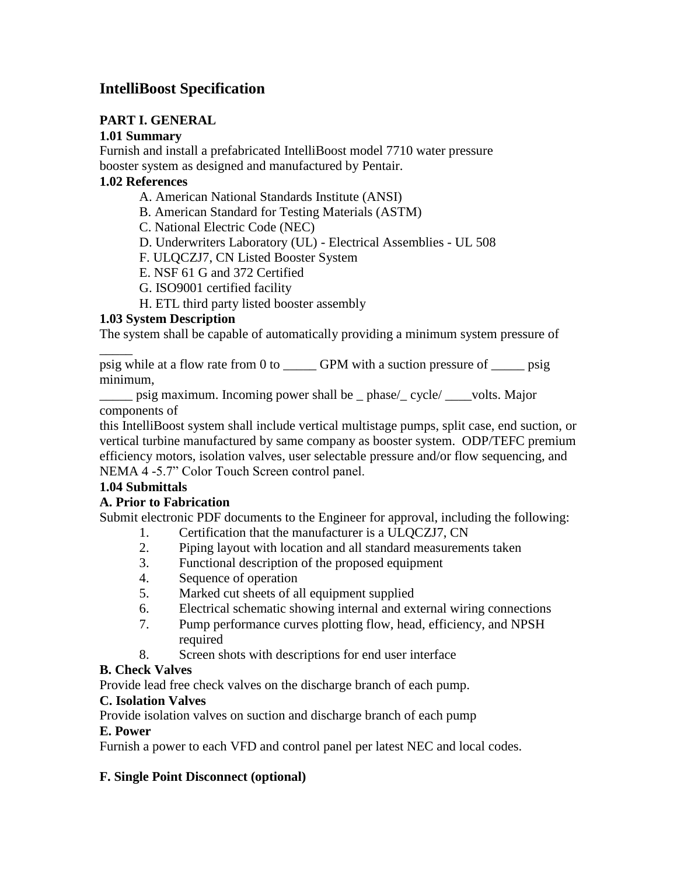# **IntelliBoost Specification**

#### **PART I. GENERAL**

#### **1.01 Summary**

Furnish and install a prefabricated IntelliBoost model 7710 water pressure booster system as designed and manufactured by Pentair.

#### **1.02 References**

- A. American National Standards Institute (ANSI)
- B. American Standard for Testing Materials (ASTM)
- C. National Electric Code (NEC)
- D. Underwriters Laboratory (UL) Electrical Assemblies UL 508
- F. ULQCZJ7, CN Listed Booster System
- E. NSF 61 G and 372 Certified
- G. ISO9001 certified facility
- H. ETL third party listed booster assembly

# **1.03 System Description**

The system shall be capable of automatically providing a minimum system pressure of

 $\overline{\phantom{a}}$ psig while at a flow rate from 0 to \_\_\_\_\_ GPM with a suction pressure of \_\_\_\_\_ psig minimum,

psig maximum. Incoming power shall be \_ phase/\_ cycle/ \_\_\_volts. Major components of

this IntelliBoost system shall include vertical multistage pumps, split case, end suction, or vertical turbine manufactured by same company as booster system. ODP/TEFC premium efficiency motors, isolation valves, user selectable pressure and/or flow sequencing, and NEMA 4 -5.7" Color Touch Screen control panel.

# **1.04 Submittals**

# **A. Prior to Fabrication**

Submit electronic PDF documents to the Engineer for approval, including the following:

- 1. Certification that the manufacturer is a ULQCZJ7, CN
- 2. Piping layout with location and all standard measurements taken
- 3. Functional description of the proposed equipment
- 4. Sequence of operation
- 5. Marked cut sheets of all equipment supplied
- 6. Electrical schematic showing internal and external wiring connections
- 7. Pump performance curves plotting flow, head, efficiency, and NPSH required
- 8. Screen shots with descriptions for end user interface

# **B. Check Valves**

Provide lead free check valves on the discharge branch of each pump.

# **C. Isolation Valves**

Provide isolation valves on suction and discharge branch of each pump

#### **E. Power**

Furnish a power to each VFD and control panel per latest NEC and local codes.

# **F. Single Point Disconnect (optional)**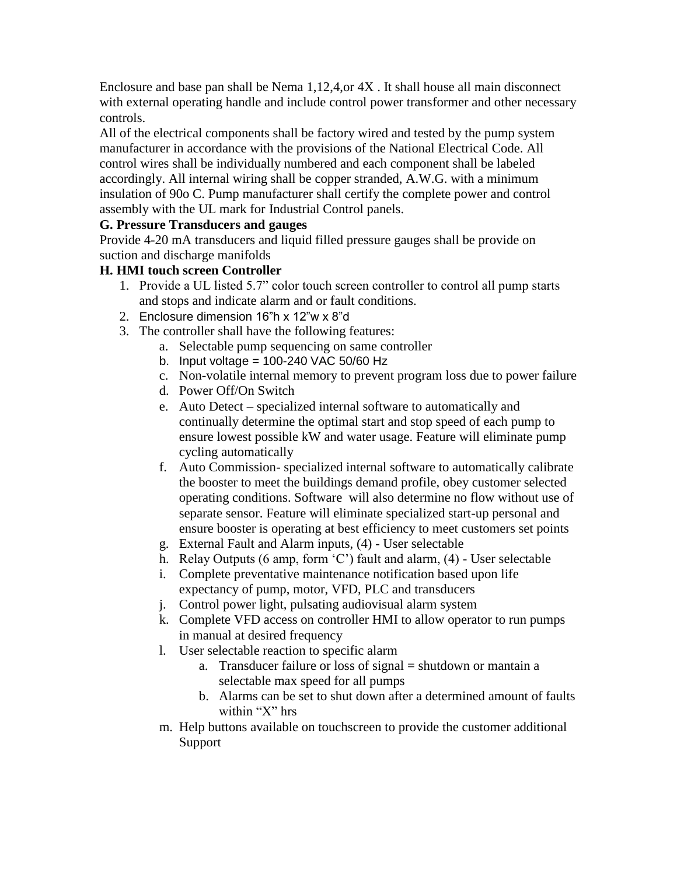Enclosure and base pan shall be Nema 1,12,4,or 4X . It shall house all main disconnect with external operating handle and include control power transformer and other necessary controls.

All of the electrical components shall be factory wired and tested by the pump system manufacturer in accordance with the provisions of the National Electrical Code. All control wires shall be individually numbered and each component shall be labeled accordingly. All internal wiring shall be copper stranded, A.W.G. with a minimum insulation of 90o C. Pump manufacturer shall certify the complete power and control assembly with the UL mark for Industrial Control panels.

# **G. Pressure Transducers and gauges**

Provide 4-20 mA transducers and liquid filled pressure gauges shall be provide on suction and discharge manifolds

# **H. HMI touch screen Controller**

- 1. Provide a UL listed 5.7" color touch screen controller to control all pump starts and stops and indicate alarm and or fault conditions.
- 2. Enclosure dimension 16"h x 12"w x 8"d
- 3. The controller shall have the following features:
	- a. Selectable pump sequencing on same controller
	- b. Input voltage =  $100-240$  VAC 50/60 Hz
	- c. Non-volatile internal memory to prevent program loss due to power failure
	- d. Power Off/On Switch
	- e. Auto Detect specialized internal software to automatically and continually determine the optimal start and stop speed of each pump to ensure lowest possible kW and water usage. Feature will eliminate pump cycling automatically
	- f. Auto Commission- specialized internal software to automatically calibrate the booster to meet the buildings demand profile, obey customer selected operating conditions. Software will also determine no flow without use of separate sensor. Feature will eliminate specialized start-up personal and ensure booster is operating at best efficiency to meet customers set points
	- g. External Fault and Alarm inputs, (4) User selectable
	- h. Relay Outputs (6 amp, form 'C') fault and alarm, (4) User selectable
	- i. Complete preventative maintenance notification based upon life expectancy of pump, motor, VFD, PLC and transducers
	- j. Control power light, pulsating audiovisual alarm system
	- k. Complete VFD access on controller HMI to allow operator to run pumps in manual at desired frequency
	- l. User selectable reaction to specific alarm
		- a. Transducer failure or loss of signal = shutdown or mantain a selectable max speed for all pumps
		- b. Alarms can be set to shut down after a determined amount of faults within "X" hrs
	- m. Help buttons available on touchscreen to provide the customer additional Support